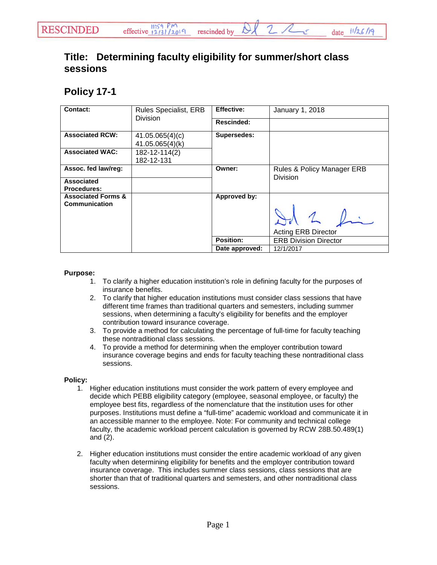## **Title: Determining faculty eligibility for summer/short class sessions**

## **Policy 17-1**

| <b>Contact:</b>                                | Rules Specialist, ERB              | <b>Effective:</b> | January 1, 2018              |
|------------------------------------------------|------------------------------------|-------------------|------------------------------|
|                                                | <b>Division</b>                    | <b>Rescinded:</b> |                              |
| <b>Associated RCW:</b>                         | 41.05.065(4)(c)<br>41.05.065(4)(k) | Supersedes:       |                              |
| <b>Associated WAC:</b>                         | 182-12-114(2)<br>182-12-131        |                   |                              |
| Assoc. fed law/reg:                            |                                    | Owner:            | Rules & Policy Manager ERB   |
| Associated<br><b>Procedures:</b>               |                                    |                   | <b>Division</b>              |
| <b>Associated Forms &amp;</b><br>Communication |                                    | Approved by:      |                              |
|                                                |                                    |                   |                              |
|                                                |                                    |                   | <b>Acting ERB Director</b>   |
|                                                |                                    | Position:         | <b>ERB Division Director</b> |
|                                                |                                    | Date approved:    | 12/1/2017                    |

## **Purpose:**

- 1. To clarify a higher education institution's role in defining faculty for the purposes of insurance benefits.
- 2. To clarify that higher education institutions must consider class sessions that have different time frames than traditional quarters and semesters, including summer sessions, when determining a faculty's eligibility for benefits and the employer contribution toward insurance coverage.
- 3. To provide a method for calculating the percentage of full-time for faculty teaching these nontraditional class sessions.
- 4. To provide a method for determining when the employer contribution toward insurance coverage begins and ends for faculty teaching these nontraditional class sessions.

## **Policy:**

- 1. Higher education institutions must consider the work pattern of every employee and decide which PEBB eligibility category (employee, seasonal employee, or faculty) the employee best fits, regardless of the nomenclature that the institution uses for other purposes. Institutions must define a "full-time" academic workload and communicate it in an accessible manner to the employee. Note: For community and technical college faculty, the academic workload percent calculation is governed by RCW 28B.50.489(1) and (2).
- 2. Higher education institutions must consider the entire academic workload of any given faculty when determining eligibility for benefits and the employer contribution toward insurance coverage. This includes summer class sessions, class sessions that are shorter than that of traditional quarters and semesters, and other nontraditional class sessions.